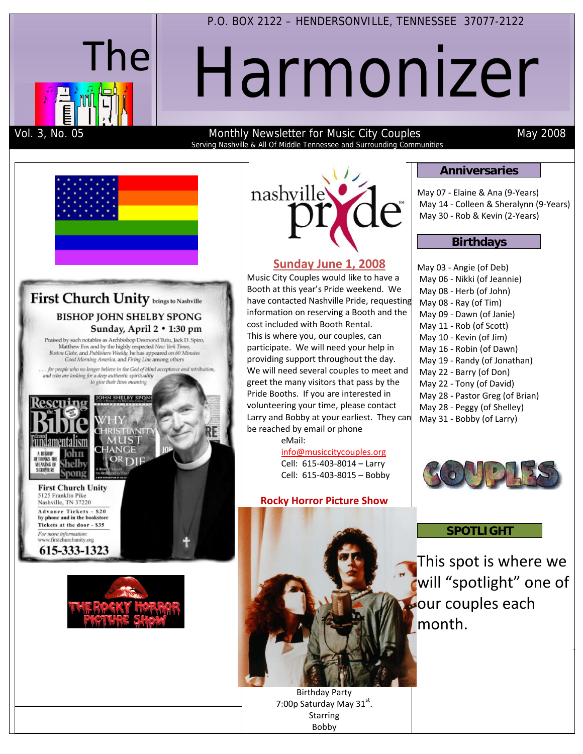

P.O. BOX 2122 – HENDERSONVILLE, TENNESSEE 37077-2122

# Harmonizer

Vol. 3, No. 05 Monthly Newsletter for Music City Couples May 2008 Serving Nashville & All Of Middle Tennessee and Surrounding Communities





## **Sunday June 1, 2008**

Music City Couples would like to have a Booth at this year's Pride weekend. We have contacted Nashville Pride, requesting information on reserving a Booth and the cost included with Booth Rental. This is where you, our couples, can participate. We will need your help in providing support throughout the day. We will need several couples to meet and greet the many visitors that pass by the Pride Booths. If you are interested in volunteering your time, please contact Larry and Bobby at your earliest. They can be reached by email or phone

eMail: info@musiccitycouples.org

Cell: 615‐403‐8014 – Larry Cell: 615‐403‐8015 – Bobby

#### **Rocky Horror Picture Show**

#### **Anniversaries**

May 07 ‐ Elaine & Ana (9‐Years) May 14 ‐ Colleen & Sheralynn (9‐Years) May 30 ‐ Rob & Kevin (2‐Years)

### **Birthdays**

May 03 ‐ Angie (of Deb) May 06 ‐ Nikki (of Jeannie) May 08 ‐ Herb (of John) May 08 ‐ Ray (of Tim) May 09 ‐ Dawn (of Janie) May 11 ‐ Rob (of Scott) May 10 ‐ Kevin (of Jim) May 16 ‐ Robin (of Dawn) May 19 ‐ Randy (of Jonathan) May 22 ‐ Barry (of Don) May 22 ‐ Tony (of David) May 28 ‐ Pastor Greg (of Brian) May 28 ‐ Peggy (of Shelley) May 31 ‐ Bobby (of Larry)



### **SPOTLIGHT**

This spot is where we will "spotlight" one of our couples each month.

T

Birthday Party 7:00p Saturday May 31st. Starring Bobby